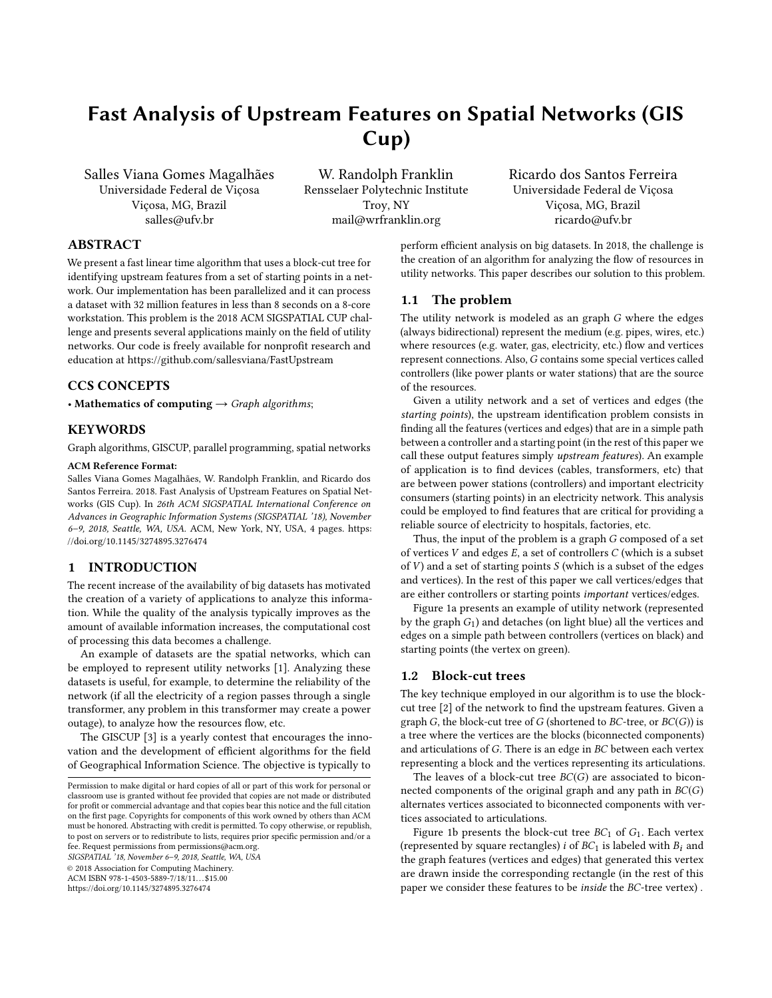# Fast Analysis of Upstream Features on Spatial Networks (GIS Cup)

Salles Viana Gomes Magalhães Universidade Federal de Viçosa Viçosa, MG, Brazil salles@ufv.br

W. Randolph Franklin Rensselaer Polytechnic Institute Troy, NY mail@wrfranklin.org

Ricardo dos Santos Ferreira Universidade Federal de Viçosa Viçosa, MG, Brazil ricardo@ufv.br

### ABSTRACT

We present a fast linear time algorithm that uses a block-cut tree for identifying upstream features from a set of starting points in a network. Our implementation has been parallelized and it can process a dataset with 32 million features in less than 8 seconds on a 8-core workstation. This problem is the 2018 ACM SIGSPATIAL CUP challenge and presents several applications mainly on the field of utility networks. Our code is freely available for nonprofit research and education at https://github.com/sallesviana/FastUpstream

#### CCS CONCEPTS

• Mathematics of computing  $\rightarrow$  Graph algorithms;

## KEYWORDS

Graph algorithms, GISCUP, parallel programming, spatial networks

#### ACM Reference Format:

Salles Viana Gomes Magalhães, W. Randolph Franklin, and Ricardo dos Santos Ferreira. 2018. Fast Analysis of Upstream Features on Spatial Networks (GIS Cup). In 26th ACM SIGSPATIAL International Conference on Advances in Geographic Information Systems (SIGSPATIAL '18), November 6–9, 2018, Seattle, WA, USA. ACM, New York, NY, USA, [4](#page-3-0) pages. [https:](https://doi.org/10.1145/3274895.3276474) [//doi.org/10.1145/3274895.3276474](https://doi.org/10.1145/3274895.3276474)

## 1 INTRODUCTION

The recent increase of the availability of big datasets has motivated the creation of a variety of applications to analyze this information. While the quality of the analysis typically improves as the amount of available information increases, the computational cost of processing this data becomes a challenge.

An example of datasets are the spatial networks, which can be employed to represent utility networks [\[1\]](#page-3-1). Analyzing these datasets is useful, for example, to determine the reliability of the network (if all the electricity of a region passes through a single transformer, any problem in this transformer may create a power outage), to analyze how the resources flow, etc.

The GISCUP [\[3\]](#page-3-2) is a yearly contest that encourages the innovation and the development of efficient algorithms for the field of Geographical Information Science. The objective is typically to

SIGSPATIAL '18, November 6–9, 2018, Seattle, WA, USA

© 2018 Association for Computing Machinery.

ACM ISBN 978-1-4503-5889-7/18/11...\$15.00

<https://doi.org/10.1145/3274895.3276474>

perform efficient analysis on big datasets. In 2018, the challenge is the creation of an algorithm for analyzing the flow of resources in utility networks. This paper describes our solution to this problem.

#### 1.1 The problem

The utility network is modeled as an graph G where the edges (always bidirectional) represent the medium (e.g. pipes, wires, etc.) where resources (e.g. water, gas, electricity, etc.) flow and vertices represent connections. Also,  $G$  contains some special vertices called controllers (like power plants or water stations) that are the source of the resources.

Given a utility network and a set of vertices and edges (the starting points), the upstream identification problem consists in finding all the features (vertices and edges) that are in a simple path between a controller and a starting point (in the rest of this paper we call these output features simply upstream features). An example of application is to find devices (cables, transformers, etc) that are between power stations (controllers) and important electricity consumers (starting points) in an electricity network. This analysis could be employed to find features that are critical for providing a reliable source of electricity to hospitals, factories, etc.

Thus, the input of the problem is a graph G composed of a set of vertices  $V$  and edges  $E$ , a set of controllers  $C$  (which is a subset of  $V$ ) and a set of starting points  $S$  (which is a subset of the edges and vertices). In the rest of this paper we call vertices/edges that are either controllers or starting points important vertices/edges.

Figure [1a](#page-1-0) presents an example of utility network (represented by the graph  $G_1$ ) and detaches (on light blue) all the vertices and edges on a simple path between controllers (vertices on black) and starting points (the vertex on green).

#### 1.2 Block-cut trees

The key technique employed in our algorithm is to use the blockcut tree [\[2\]](#page-3-3) of the network to find the upstream features. Given a graph  $G$ , the block-cut tree of  $G$  (shortened to  $BC$ -tree, or  $BC(G)$ ) is a tree where the vertices are the blocks (biconnected components) and articulations of G. There is an edge in BC between each vertex representing a block and the vertices representing its articulations.

The leaves of a block-cut tree  $BC(G)$  are associated to biconnected components of the original graph and any path in  $BC(G)$ alternates vertices associated to biconnected components with vertices associated to articulations.

Figure [1b](#page-1-0) presents the block-cut tree  $BC_1$  of  $G_1$ . Each vertex (represented by square rectangles)  $i$  of  $BC_1$  is labeled with  $B_i$  and the graph features (vertices and edges) that generated this vertex are drawn inside the corresponding rectangle (in the rest of this paper we consider these features to be inside the BC-tree vertex) .

Permission to make digital or hard copies of all or part of this work for personal or classroom use is granted without fee provided that copies are not made or distributed for profit or commercial advantage and that copies bear this notice and the full citation on the first page. Copyrights for components of this work owned by others than ACM must be honored. Abstracting with credit is permitted. To copy otherwise, or republish, to post on servers or to redistribute to lists, requires prior specific permission and/or a fee. Request permissions from permissions@acm.org.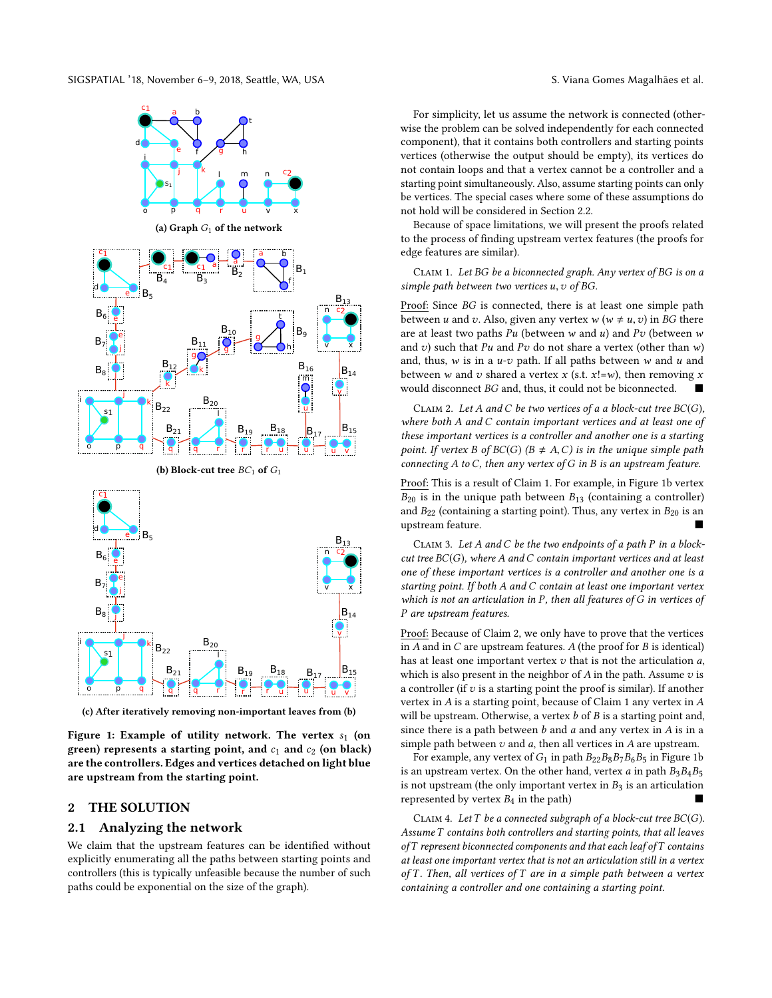SIGSPATIAL '18, November 6–9, 2018, Seattle, WA, USA S. Viana Gomes Magalhães et al.

<span id="page-1-0"></span>

(c) After iteratively removing non-important leaves from (b)

Figure 1: Example of utility network. The vertex  $s_1$  (on green) represents a starting point, and  $c_1$  and  $c_2$  (on black) are the controllers. Edges and vertices detached on light blue are upstream from the starting point.

## 2 THE SOLUTION

#### 2.1 Analyzing the network

We claim that the upstream features can be identified without explicitly enumerating all the paths between starting points and controllers (this is typically unfeasible because the number of such paths could be exponential on the size of the graph).

For simplicity, let us assume the network is connected (otherwise the problem can be solved independently for each connected component), that it contains both controllers and starting points vertices (otherwise the output should be empty), its vertices do not contain loops and that a vertex cannot be a controller and a starting point simultaneously. Also, assume starting points can only be vertices. The special cases where some of these assumptions do not hold will be considered in Section [2.2.](#page-2-0)

Because of space limitations, we will present the proofs related to the process of finding upstream vertex features (the proofs for edge features are similar).

<span id="page-1-1"></span>CLAIM 1. Let BG be a biconnected graph. Any vertex of BG is on a simple path between two vertices  $u, v$  of BG.

Proof: Since BG is connected, there is at least one simple path between *u* and *v*. Also, given any vertex *w* ( $w \neq u, v$ ) in *BG* there are at least two paths  $Pu$  (between w and u) and  $Pv$  (between w and v) such that Pu and Pv do not share a vertex (other than  $w$ ) and, thus,  $w$  is in a  $u$ - $v$  path. If all paths between  $w$  and  $u$  and between w and v shared a vertex x (s.t.  $x!=w$ ), then removing x would disconnect BG and, thus, it could not be biconnected.

<span id="page-1-2"></span>CLAIM 2. Let A and C be two vertices of a a block-cut tree  $BC(G)$ , where both A and C contain important vertices and at least one of these important vertices is a controller and another one is a starting point. If vertex B of  $BC(G)$  ( $B \neq A, C$ ) is in the unique simple path connecting  $A$  to  $C$ , then any vertex of  $G$  in  $B$  is an upstream feature.

Proof: This is a result of Claim [1.](#page-1-1) For example, in Figure [1b](#page-1-0) vertex  $B_{20}$  is in the unique path between  $B_{13}$  (containing a controller) and  $B_{22}$  (containing a starting point). Thus, any vertex in  $B_{20}$  is an upstream feature.

<span id="page-1-3"></span>CLAIM 3. Let A and C be the two endpoints of a path P in a blockcut tree  $BC(G)$ , where A and C contain important vertices and at least one of these important vertices is a controller and another one is a starting point. If both A and C contain at least one important vertex which is not an articulation in P, then all features of G in vertices of P are upstream features.

Proof: Because of Claim [2,](#page-1-2) we only have to prove that the vertices in  $A$  and in  $C$  are upstream features.  $A$  (the proof for  $B$  is identical) has at least one important vertex  $v$  that is not the articulation  $a$ , which is also present in the neighbor of  $A$  in the path. Assume  $v$  is a controller (if  $v$  is a starting point the proof is similar). If another vertex in A is a starting point, because of Claim [1](#page-1-1) any vertex in A will be upstream. Otherwise, a vertex  $b$  of  $B$  is a starting point and, since there is a path between  $b$  and  $a$  and any vertex in  $A$  is in a simple path between  $v$  and  $a$ , then all vertices in  $A$  are upstream.

For example, any vertex of  $G_1$  in path  $B_{22}B_8B_7B_6B_5$  in Figure [1b](#page-1-0) is an upstream vertex. On the other hand, vertex a in path  $B_3B_4B_5$ is not upstream (the only important vertex in  $B_3$  is an articulation represented by vertex  $B_4$  in the path)

<span id="page-1-4"></span>CLAIM 4. Let T be a connected subgraph of a block-cut tree  $BC(G)$ . Assume T contains both controllers and starting points, that all leaves ofT represent biconnected components and that each leaf ofT contains at least one important vertex that is not an articulation still in a vertex of T. Then, all vertices of T are in a simple path between a vertex containing a controller and one containing a starting point.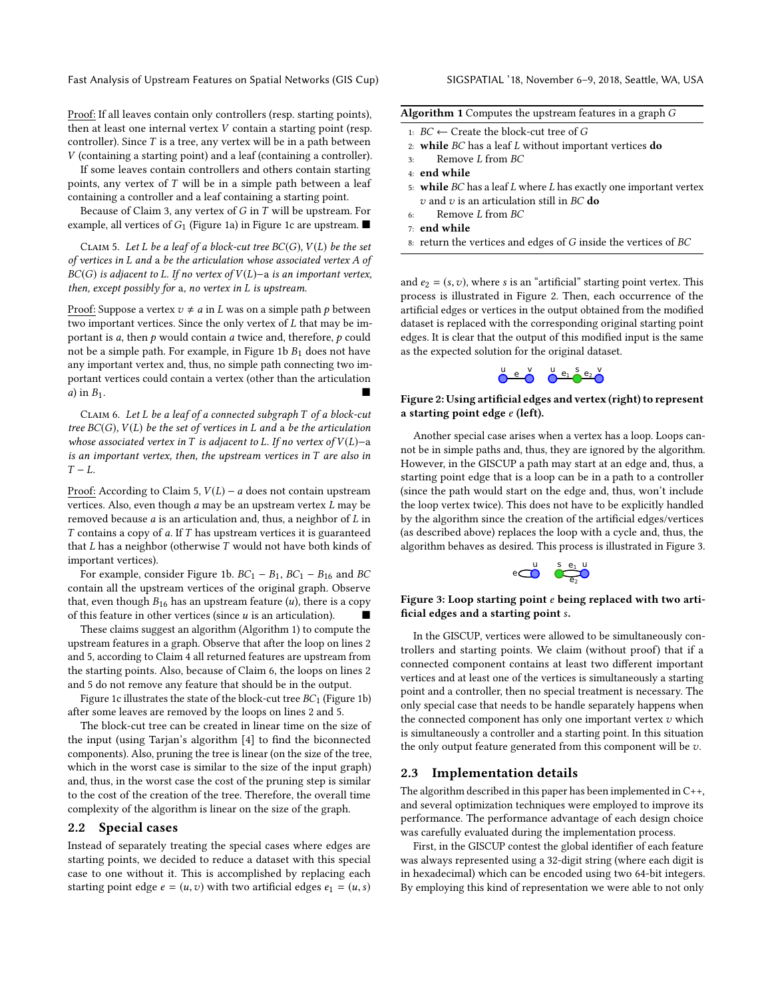Fast Analysis of Upstream Features on Spatial Networks (GIS Cup) SIGSPATIAL '18, November 6–9, 2018, Seattle, WA, USA

Proof: If all leaves contain only controllers (resp. starting points), then at least one internal vertex V contain a starting point (resp. controller). Since  $T$  is a tree, any vertex will be in a path between V (containing a starting point) and a leaf (containing a controller).

If some leaves contain controllers and others contain starting points, any vertex of  $T$  will be in a simple path between a leaf containing a controller and a leaf containing a starting point.

Because of Claim [3,](#page-1-3) any vertex of G in T will be upstream. For example, all vertices of  $G_1$  (Figure [1a\)](#page-1-0) in Figure [1c](#page-1-0) are upstream.  $\blacksquare$ 

<span id="page-2-1"></span>CLAIM 5. Let L be a leaf of a block-cut tree  $BC(G)$ ,  $V(L)$  be the set of vertices in L and <sup>a</sup> be the articulation whose associated vertex A of  $BC(G)$  is adjacent to L. If no vertex of  $V(L)$ −a is an important vertex, then, except possibly for <sup>a</sup>, no vertex in L is upstream.

Proof: Suppose a vertex  $v \neq a$  in L was on a simple path p between two important vertices. Since the only vertex of L that may be important is  $a$ , then  $p$  would contain  $a$  twice and, therefore,  $p$  could not be a simple path. For example, in Figure [1b](#page-1-0)  $B_1$  does not have any important vertex and, thus, no simple path connecting two important vertices could contain a vertex (other than the articulation a) in  $B_1$ .

<span id="page-2-3"></span>Claim 6. Let L be a leaf of a connected subgraph T of a block-cut tree  $BC(G)$ ,  $V(L)$  be the set of vertices in L and a be the articulation whose associated vertex in T is adjacent to L. If no vertex of  $V(L)$ -a is an important vertex, then, the upstream vertices in  $T$  are also in  $T - L$ .

Proof: According to Claim [5,](#page-2-1)  $V(L) - a$  does not contain upstream vertices. Also, even though  $a$  may be an upstream vertex  $L$  may be removed because  $a$  is an articulation and, thus, a neighbor of  $L$  in  $T$  contains a copy of  $a$ . If  $T$  has upstream vertices it is guaranteed that  $L$  has a neighbor (otherwise  $T$  would not have both kinds of important vertices).

For example, consider Figure [1b.](#page-1-0)  $BC_1 - B_1$ ,  $BC_1 - B_{16}$  and  $BC$ contain all the upstream vertices of the original graph. Observe that, even though  $B_{16}$  has an upstream feature (*u*), there is a copy of this feature in other vertices (since  $u$  is an articulation).

These claims suggest an algorithm (Algorithm [1\)](#page-2-2) to compute the upstream features in a graph. Observe that after the loop on lines 2 and 5, according to Claim [4](#page-1-4) all returned features are upstream from the starting points. Also, because of Claim [6,](#page-2-3) the loops on lines 2 and 5 do not remove any feature that should be in the output.

Figure [1c](#page-1-0) illustrates the state of the block-cut tree  $BC_1$  (Figure [1b\)](#page-1-0) after some leaves are removed by the loops on lines 2 and 5.

The block-cut tree can be created in linear time on the size of the input (using Tarjan's algorithm [\[4\]](#page-3-4) to find the biconnected components). Also, pruning the tree is linear (on the size of the tree, which in the worst case is similar to the size of the input graph) and, thus, in the worst case the cost of the pruning step is similar to the cost of the creation of the tree. Therefore, the overall time complexity of the algorithm is linear on the size of the graph.

#### <span id="page-2-0"></span>2.2 Special cases

Instead of separately treating the special cases where edges are starting points, we decided to reduce a dataset with this special case to one without it. This is accomplished by replacing each starting point edge  $e = (u, v)$  with two artificial edges  $e_1 = (u, s)$ 

<span id="page-2-2"></span>

| Algorithm 1 Computes the upstream features in a graph G |            |  |  |  |
|---------------------------------------------------------|------------|--|--|--|
|                                                         | __ _ _ _ _ |  |  |  |

- 1:  $BC \leftarrow$  Create the block-cut tree of G<br>2. while BC has a leaf L without impor-
- 2: while  $BC$  has a leaf  $L$  without important vertices do
- Remove L from BC
- 4: end while
- 5: while  $BC$  has a leaf  $L$  where  $L$  has exactly one important vertex  $v$  and  $v$  is an articulation still in BC do
- 6: Remove L from BC
- 7: end while
- $8:$  return the vertices and edges of  $G$  inside the vertices of  $BC$

and  $e_2 = (s, v)$ , where s is an "artificial" starting point vertex. This process is illustrated in Figure [2.](#page-2-4) Then, each occurrence of the artificial edges or vertices in the output obtained from the modified dataset is replaced with the corresponding original starting point edges. It is clear that the output of this modified input is the same as the expected solution for the original dataset.



#### <span id="page-2-4"></span>Figure 2: Using artificial edges and vertex (right) to represent a starting point edge e (left).

Another special case arises when a vertex has a loop. Loops cannot be in simple paths and, thus, they are ignored by the algorithm. However, in the GISCUP a path may start at an edge and, thus, a starting point edge that is a loop can be in a path to a controller (since the path would start on the edge and, thus, won't include the loop vertex twice). This does not have to be explicitly handled by the algorithm since the creation of the artificial edges/vertices (as described above) replaces the loop with a cycle and, thus, the algorithm behaves as desired. This process is illustrated in Figure [3.](#page-2-5)



#### <span id="page-2-5"></span>Figure 3: Loop starting point  $e$  being replaced with two artificial edges and a starting point s.

In the GISCUP, vertices were allowed to be simultaneously controllers and starting points. We claim (without proof) that if a connected component contains at least two different important vertices and at least one of the vertices is simultaneously a starting point and a controller, then no special treatment is necessary. The only special case that needs to be handle separately happens when the connected component has only one important vertex  $v$  which is simultaneously a controller and a starting point. In this situation the only output feature generated from this component will be  $v$ .

### 2.3 Implementation details

The algorithm described in this paper has been implemented in C++, and several optimization techniques were employed to improve its performance. The performance advantage of each design choice was carefully evaluated during the implementation process.

First, in the GISCUP contest the global identifier of each feature was always represented using a 32-digit string (where each digit is in hexadecimal) which can be encoded using two 64-bit integers. By employing this kind of representation we were able to not only